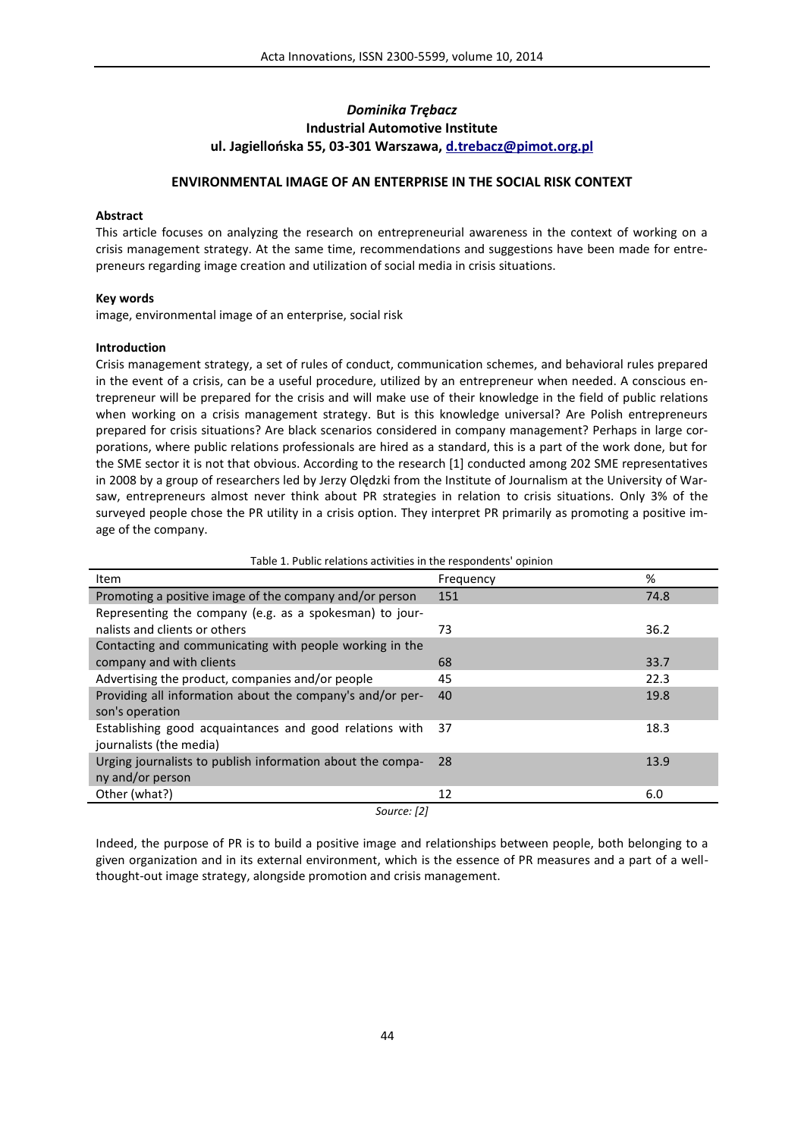# *Dominika Trębacz* **Industrial Automotive Institute ul. Jagiellońska 55, 03-301 Warszawa, d.trebacz@pimot.org.pl**

## **ENVIRONMENTAL IMAGE OF AN ENTERPRISE IN THE SOCIAL RISK CONTEXT**

### **Abstract**

This article focuses on analyzing the research on entrepreneurial awareness in the context of working on a crisis management strategy. At the same time, recommendations and suggestions have been made for entrepreneurs regarding image creation and utilization of social media in crisis situations.

### **Key words**

image, environmental image of an enterprise, social risk

### **Introduction**

Crisis management strategy, a set of rules of conduct, communication schemes, and behavioral rules prepared in the event of a crisis, can be a useful procedure, utilized by an entrepreneur when needed. A conscious entrepreneur will be prepared for the crisis and will make use of their knowledge in the field of public relations when working on a crisis management strategy. But is this knowledge universal? Are Polish entrepreneurs prepared for crisis situations? Are black scenarios considered in company management? Perhaps in large corporations, where public relations professionals are hired as a standard, this is a part of the work done, but for the SME sector it is not that obvious. According to the research [1] conducted among 202 SME representatives in 2008 by a group of researchers led by Jerzy Olędzki from the Institute of Journalism at the University of Warsaw, entrepreneurs almost never think about PR strategies in relation to crisis situations. Only 3% of the surveyed people chose the PR utility in a crisis option. They interpret PR primarily as promoting a positive image of the company.

| rable 1. Public relations activities in the respondents' opinion                   |           |      |
|------------------------------------------------------------------------------------|-----------|------|
| <b>Item</b>                                                                        | Frequency | %    |
| Promoting a positive image of the company and/or person                            | 151       | 74.8 |
| Representing the company (e.g. as a spokesman) to jour-                            |           |      |
| nalists and clients or others                                                      | 73        | 36.2 |
| Contacting and communicating with people working in the                            |           |      |
| company and with clients                                                           | 68        | 33.7 |
| Advertising the product, companies and/or people                                   | 45        | 22.3 |
| Providing all information about the company's and/or per-<br>son's operation       | 40        | 19.8 |
| Establishing good acquaintances and good relations with<br>journalists (the media) | 37        | 18.3 |
| Urging journalists to publish information about the compa-<br>ny and/or person     | 28        | 13.9 |
| Other (what?)                                                                      | 12        | 6.0  |
| Source: [2]                                                                        |           |      |

Table 1. Public relations activities in the respondents' opinion

Indeed, the purpose of PR is to build a positive image and relationships between people, both belonging to a given organization and in its external environment, which is the essence of PR measures and a part of a wellthought-out image strategy, alongside promotion and crisis management.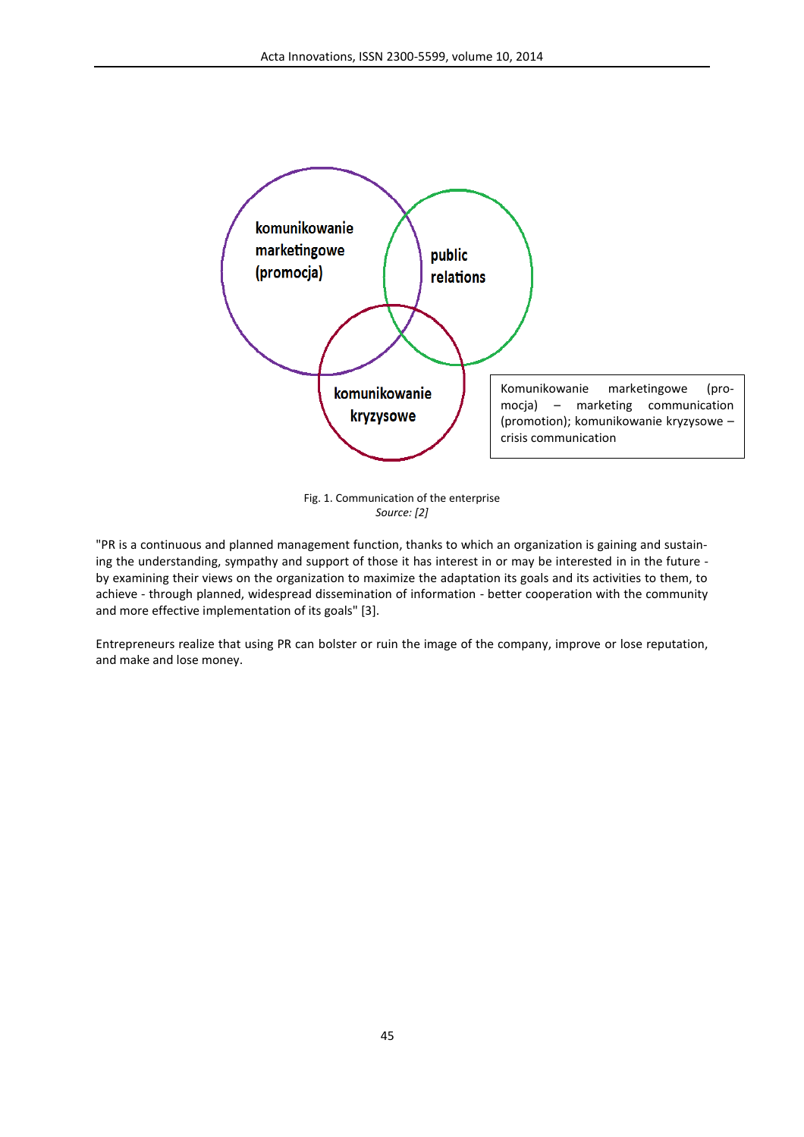

Fig. 1. Communication of the enterprise *Source: [2]*

"PR is a continuous and planned management function, thanks to which an organization is gaining and sustaining the understanding, sympathy and support of those it has interest in or may be interested in in the future by examining their views on the organization to maximize the adaptation its goals and its activities to them, to achieve - through planned, widespread dissemination of information - better cooperation with the community and more effective implementation of its goals" [3].

Entrepreneurs realize that using PR can bolster or ruin the image of the company, improve or lose reputation, and make and lose money.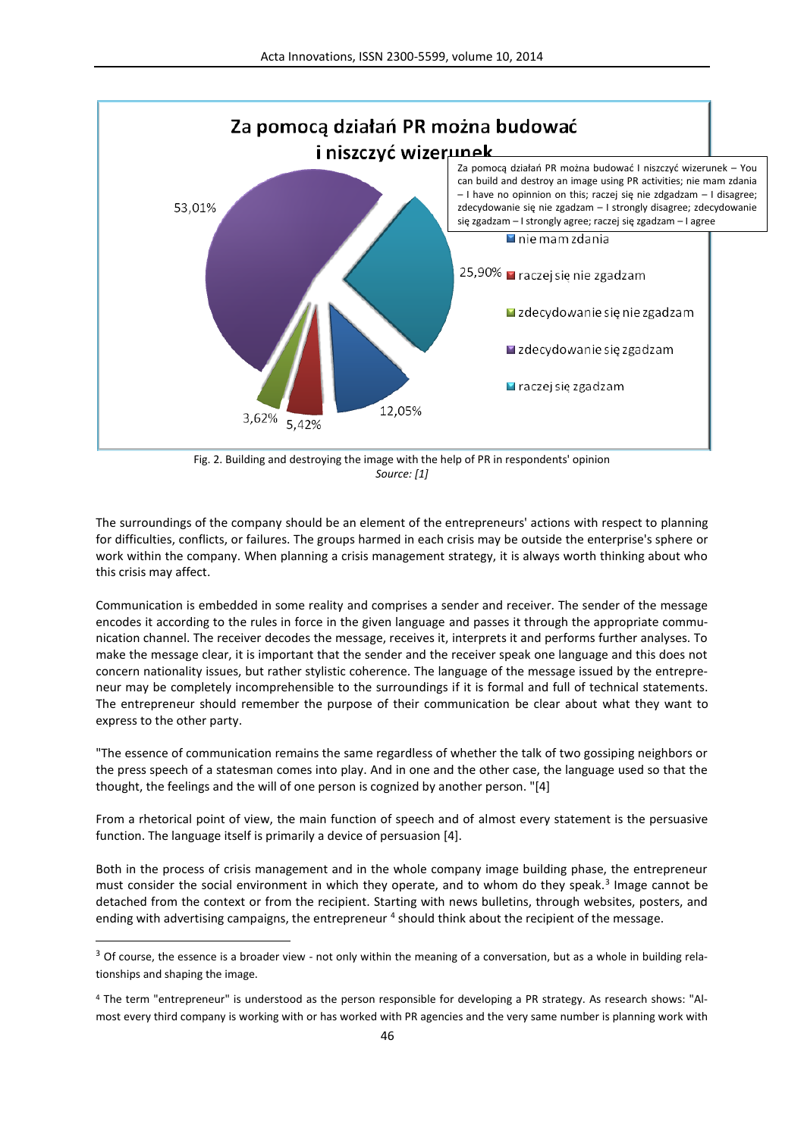

Fig. 2. Building and destroying the image with the help of PR in respondents' opinion *Source: [1]*

The surroundings of the company should be an element of the entrepreneurs' actions with respect to planning for difficulties, conflicts, or failures. The groups harmed in each crisis may be outside the enterprise's sphere or work within the company. When planning a crisis management strategy, it is always worth thinking about who this crisis may affect.

Communication is embedded in some reality and comprises a sender and receiver. The sender of the message encodes it according to the rules in force in the given language and passes it through the appropriate communication channel. The receiver decodes the message, receives it, interprets it and performs further analyses. To make the message clear, it is important that the sender and the receiver speak one language and this does not concern nationality issues, but rather stylistic coherence. The language of the message issued by the entrepreneur may be completely incomprehensible to the surroundings if it is formal and full of technical statements. The entrepreneur should remember the purpose of their communication be clear about what they want to express to the other party.

"The essence of communication remains the same regardless of whether the talk of two gossiping neighbors or the press speech of a statesman comes into play. And in one and the other case, the language used so that the thought, the feelings and the will of one person is cognized by another person. "[4]

From a rhetorical point of view, the main function of speech and of almost every statement is the persuasive function. The language itself is primarily a device of persuasion [4].

Both in the process of crisis management and in the whole company image building phase, the entrepreneur must consider the social environment in which they operate, and to whom do they speak.<sup>3</sup> Image cannot be detached from the context or from the recipient. Starting with news bulletins, through websites, posters, and ending with advertising campaigns, the entrepreneur <sup>4</sup> should think about the recipient of the message.

 $\overline{a}$ 

<sup>&</sup>lt;sup>3</sup> Of course, the essence is a broader view - not only within the meaning of a conversation, but as a whole in building relationships and shaping the image.

<sup>4</sup> The term "entrepreneur" is understood as the person responsible for developing a PR strategy. As research shows: "Almost every third company is working with or has worked with PR agencies and the very same number is planning work with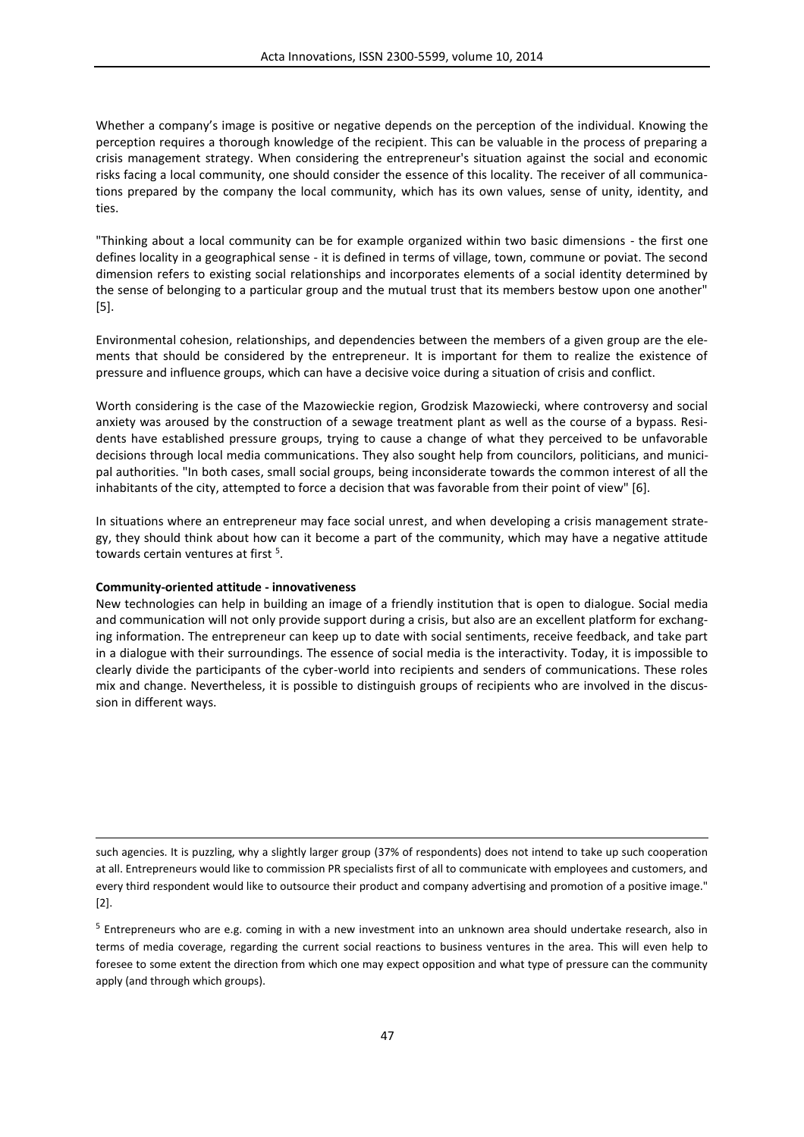Whether a company's image is positive or negative depends on the perception of the individual. Knowing the perception requires a thorough knowledge of the recipient. This can be valuable in the process of preparing a crisis management strategy. When considering the entrepreneur's situation against the social and economic risks facing a local community, one should consider the essence of this locality. The receiver of all communications prepared by the company the local community, which has its own values, sense of unity, identity, and ties.

"Thinking about a local community can be for example organized within two basic dimensions - the first one defines locality in a geographical sense - it is defined in terms of village, town, commune or poviat. The second dimension refers to existing social relationships and incorporates elements of a social identity determined by the sense of belonging to a particular group and the mutual trust that its members bestow upon one another" [5].

Environmental cohesion, relationships, and dependencies between the members of a given group are the elements that should be considered by the entrepreneur. It is important for them to realize the existence of pressure and influence groups, which can have a decisive voice during a situation of crisis and conflict.

Worth considering is the case of the Mazowieckie region, Grodzisk Mazowiecki, where controversy and social anxiety was aroused by the construction of a sewage treatment plant as well as the course of a bypass. Residents have established pressure groups, trying to cause a change of what they perceived to be unfavorable decisions through local media communications. They also sought help from councilors, politicians, and municipal authorities. "In both cases, small social groups, being inconsiderate towards the common interest of all the inhabitants of the city, attempted to force a decision that was favorable from their point of view" [6].

In situations where an entrepreneur may face social unrest, and when developing a crisis management strategy, they should think about how can it become a part of the community, which may have a negative attitude towards certain ventures at first <sup>5</sup>.

### **Community-oriented attitude - innovativeness**

 $\overline{a}$ 

New technologies can help in building an image of a friendly institution that is open to dialogue. Social media and communication will not only provide support during a crisis, but also are an excellent platform for exchanging information. The entrepreneur can keep up to date with social sentiments, receive feedback, and take part in a dialogue with their surroundings. The essence of social media is the interactivity. Today, it is impossible to clearly divide the participants of the cyber-world into recipients and senders of communications. These roles mix and change. Nevertheless, it is possible to distinguish groups of recipients who are involved in the discussion in different ways.

such agencies. It is puzzling, why a slightly larger group (37% of respondents) does not intend to take up such cooperation at all. Entrepreneurs would like to commission PR specialists first of all to communicate with employees and customers, and every third respondent would like to outsource their product and company advertising and promotion of a positive image." [2].

5 Entrepreneurs who are e.g. coming in with a new investment into an unknown area should undertake research, also in terms of media coverage, regarding the current social reactions to business ventures in the area. This will even help to foresee to some extent the direction from which one may expect opposition and what type of pressure can the community apply (and through which groups).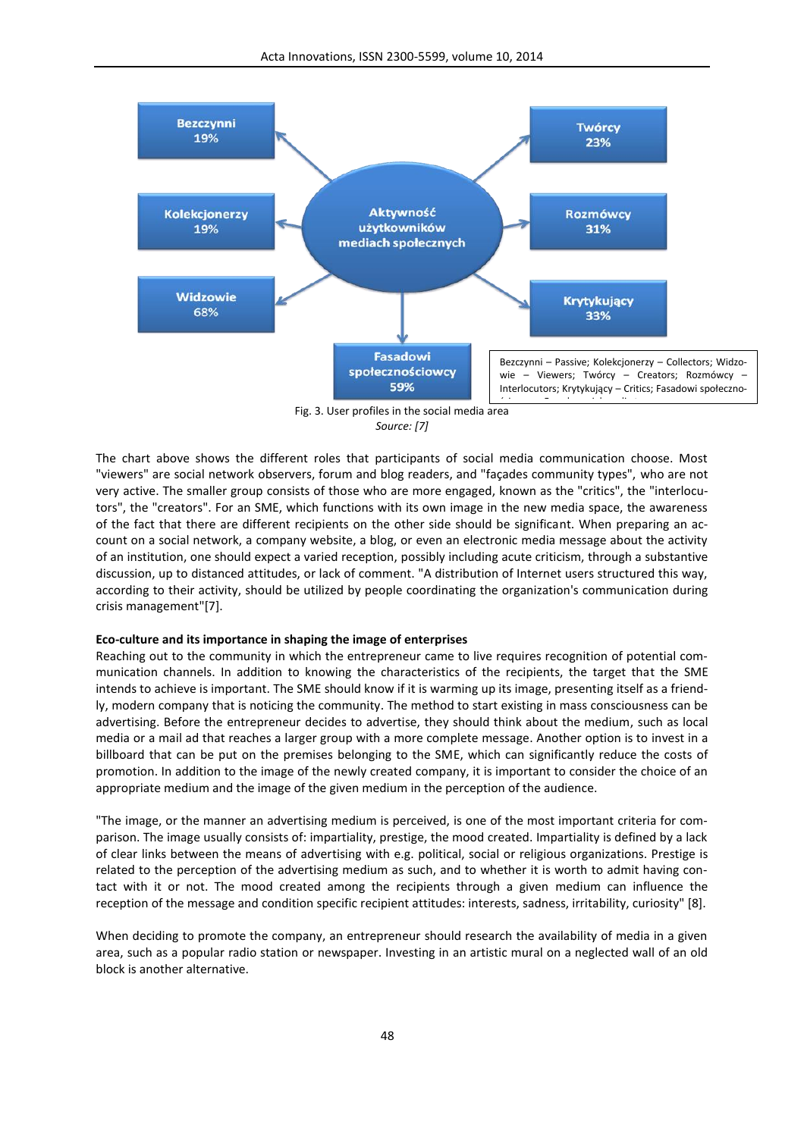

Fig. 3. User profiles in the social media area *Source: [7]*

The chart above shows the different roles that participants of social media communication choose. Most "viewers" are social network observers, forum and blog readers, and "façades community types", who are not very active. The smaller group consists of those who are more engaged, known as the "critics", the "interlocutors", the "creators". For an SME, which functions with its own image in the new media space, the awareness of the fact that there are different recipients on the other side should be significant. When preparing an account on a social network, a company website, a blog, or even an electronic media message about the activity of an institution, one should expect a varied reception, possibly including acute criticism, through a substantive discussion, up to distanced attitudes, or lack of comment. "A distribution of Internet users structured this way, according to their activity, should be utilized by people coordinating the organization's communication during crisis management"[7].

#### **Eco-culture and its importance in shaping the image of enterprises**

Reaching out to the community in which the entrepreneur came to live requires recognition of potential communication channels. In addition to knowing the characteristics of the recipients, the target that the SME intends to achieve is important. The SME should know if it is warming up its image, presenting itself as a friendly, modern company that is noticing the community. The method to start existing in mass consciousness can be advertising. Before the entrepreneur decides to advertise, they should think about the medium, such as local media or a mail ad that reaches a larger group with a more complete message. Another option is to invest in a billboard that can be put on the premises belonging to the SME, which can significantly reduce the costs of promotion. In addition to the image of the newly created company, it is important to consider the choice of an appropriate medium and the image of the given medium in the perception of the audience.

"The image, or the manner an advertising medium is perceived, is one of the most important criteria for comparison. The image usually consists of: impartiality, prestige, the mood created. Impartiality is defined by a lack of clear links between the means of advertising with e.g. political, social or religious organizations. Prestige is related to the perception of the advertising medium as such, and to whether it is worth to admit having contact with it or not. The mood created among the recipients through a given medium can influence the reception of the message and condition specific recipient attitudes: interests, sadness, irritability, curiosity" [8].

When deciding to promote the company, an entrepreneur should research the availability of media in a given area, such as a popular radio station or newspaper. Investing in an artistic mural on a neglected wall of an old block is another alternative.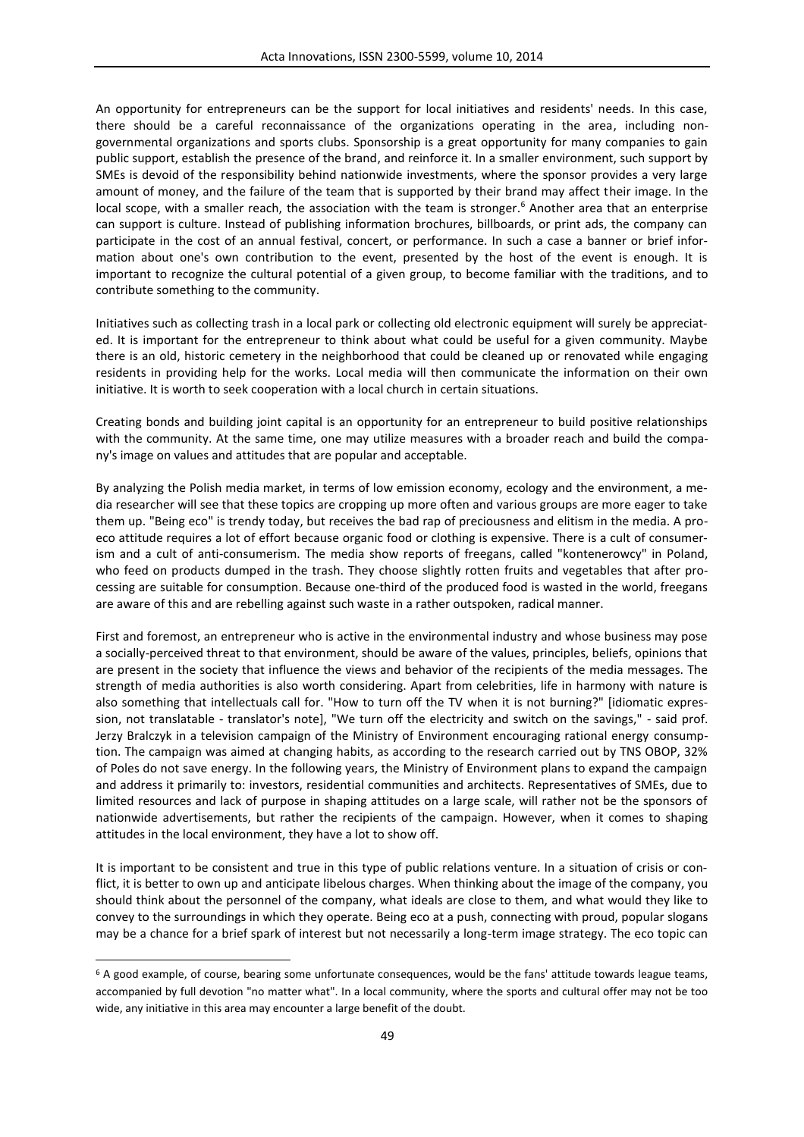An opportunity for entrepreneurs can be the support for local initiatives and residents' needs. In this case, there should be a careful reconnaissance of the organizations operating in the area, including nongovernmental organizations and sports clubs. Sponsorship is a great opportunity for many companies to gain public support, establish the presence of the brand, and reinforce it. In a smaller environment, such support by SMEs is devoid of the responsibility behind nationwide investments, where the sponsor provides a very large amount of money, and the failure of the team that is supported by their brand may affect their image. In the local scope, with a smaller reach, the association with the team is stronger. <sup>6</sup> Another area that an enterprise can support is culture. Instead of publishing information brochures, billboards, or print ads, the company can participate in the cost of an annual festival, concert, or performance. In such a case a banner or brief information about one's own contribution to the event, presented by the host of the event is enough. It is important to recognize the cultural potential of a given group, to become familiar with the traditions, and to contribute something to the community.

Initiatives such as collecting trash in a local park or collecting old electronic equipment will surely be appreciated. It is important for the entrepreneur to think about what could be useful for a given community. Maybe there is an old, historic cemetery in the neighborhood that could be cleaned up or renovated while engaging residents in providing help for the works. Local media will then communicate the information on their own initiative. It is worth to seek cooperation with a local church in certain situations.

Creating bonds and building joint capital is an opportunity for an entrepreneur to build positive relationships with the community. At the same time, one may utilize measures with a broader reach and build the company's image on values and attitudes that are popular and acceptable.

By analyzing the Polish media market, in terms of low emission economy, ecology and the environment, a media researcher will see that these topics are cropping up more often and various groups are more eager to take them up. "Being eco" is trendy today, but receives the bad rap of preciousness and elitism in the media. A proeco attitude requires a lot of effort because organic food or clothing is expensive. There is a cult of consumerism and a cult of anti-consumerism. The media show reports of freegans, called "kontenerowcy" in Poland, who feed on products dumped in the trash. They choose slightly rotten fruits and vegetables that after processing are suitable for consumption. Because one-third of the produced food is wasted in the world, freegans are aware of this and are rebelling against such waste in a rather outspoken, radical manner.

First and foremost, an entrepreneur who is active in the environmental industry and whose business may pose a socially-perceived threat to that environment, should be aware of the values, principles, beliefs, opinions that are present in the society that influence the views and behavior of the recipients of the media messages. The strength of media authorities is also worth considering. Apart from celebrities, life in harmony with nature is also something that intellectuals call for. "How to turn off the TV when it is not burning?" [idiomatic expression, not translatable - translator's note], "We turn off the electricity and switch on the savings," - said prof. Jerzy Bralczyk in a television campaign of the Ministry of Environment encouraging rational energy consumption. The campaign was aimed at changing habits, as according to the research carried out by TNS OBOP, 32% of Poles do not save energy. In the following years, the Ministry of Environment plans to expand the campaign and address it primarily to: investors, residential communities and architects. Representatives of SMEs, due to limited resources and lack of purpose in shaping attitudes on a large scale, will rather not be the sponsors of nationwide advertisements, but rather the recipients of the campaign. However, when it comes to shaping attitudes in the local environment, they have a lot to show off.

It is important to be consistent and true in this type of public relations venture. In a situation of crisis or conflict, it is better to own up and anticipate libelous charges. When thinking about the image of the company, you should think about the personnel of the company, what ideals are close to them, and what would they like to convey to the surroundings in which they operate. Being eco at a push, connecting with proud, popular slogans may be a chance for a brief spark of interest but not necessarily a long-term image strategy. The eco topic can

 $\overline{a}$ 

 $6$  A good example, of course, bearing some unfortunate consequences, would be the fans' attitude towards league teams, accompanied by full devotion "no matter what". In a local community, where the sports and cultural offer may not be too wide, any initiative in this area may encounter a large benefit of the doubt.